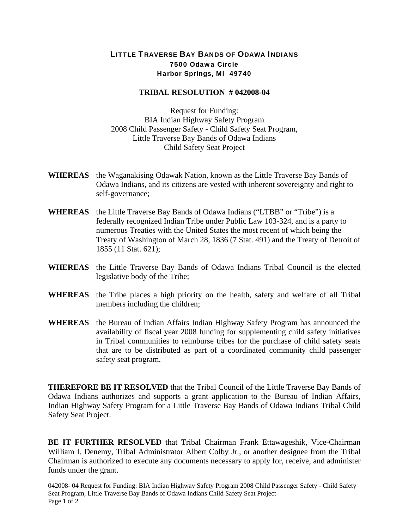## LITTLE TRAVERSE BAY BANDS OF ODAWA INDIANS 7500 Odawa Circle Harbor Springs, MI 49740

## **TRIBAL RESOLUTION # 042008-04**

Request for Funding: BIA Indian Highway Safety Program 2008 Child Passenger Safety - Child Safety Seat Program, Little Traverse Bay Bands of Odawa Indians Child Safety Seat Project

- **WHEREAS** the Waganakising Odawak Nation, known as the Little Traverse Bay Bands of Odawa Indians, and its citizens are vested with inherent sovereignty and right to self-governance;
- **WHEREAS** the Little Traverse Bay Bands of Odawa Indians ("LTBB" or "Tribe") is a federally recognized Indian Tribe under Public Law 103-324, and is a party to numerous Treaties with the United States the most recent of which being the Treaty of Washington of March 28, 1836 (7 Stat. 491) and the Treaty of Detroit of 1855 (11 Stat. 621);
- **WHEREAS** the Little Traverse Bay Bands of Odawa Indians Tribal Council is the elected legislative body of the Tribe;
- **WHEREAS** the Tribe places a high priority on the health, safety and welfare of all Tribal members including the children;
- **WHEREAS** the Bureau of Indian Affairs Indian Highway Safety Program has announced the availability of fiscal year 2008 funding for supplementing child safety initiatives in Tribal communities to reimburse tribes for the purchase of child safety seats that are to be distributed as part of a coordinated community child passenger safety seat program.

**THEREFORE BE IT RESOLVED** that the Tribal Council of the Little Traverse Bay Bands of Odawa Indians authorizes and supports a grant application to the Bureau of Indian Affairs, Indian Highway Safety Program for a Little Traverse Bay Bands of Odawa Indians Tribal Child Safety Seat Project.

**BE IT FURTHER RESOLVED** that Tribal Chairman Frank Ettawageshik, Vice-Chairman William I. Denemy, Tribal Administrator Albert Colby Jr., or another designee from the Tribal Chairman is authorized to execute any documents necessary to apply for, receive, and administer funds under the grant.

042008- 04 Request for Funding: BIA Indian Highway Safety Program 2008 Child Passenger Safety - Child Safety Seat Program, Little Traverse Bay Bands of Odawa Indians Child Safety Seat Project Page 1 of 2